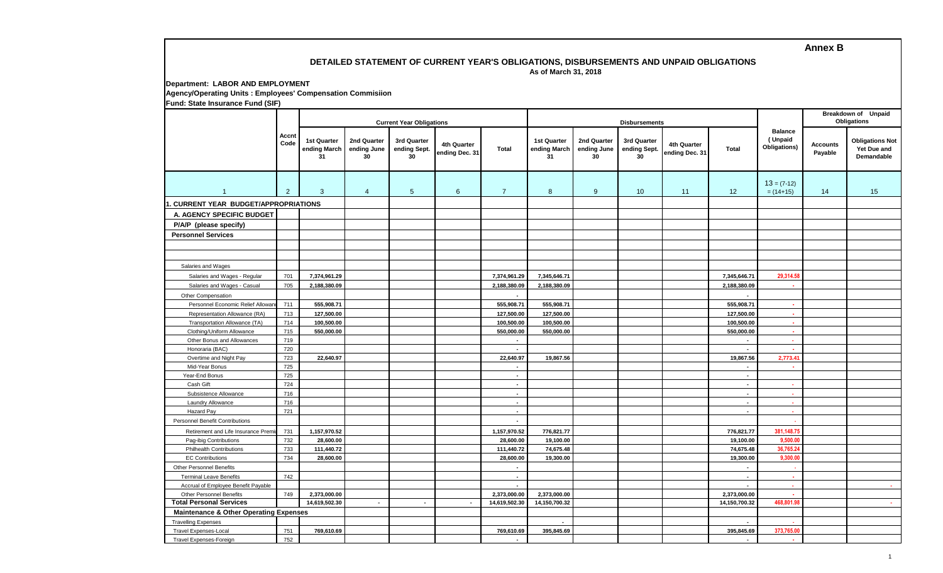## **Annex B**

## **DETAILED STATEMENT OF CURRENT YEAR'S OBLIGATIONS, DISBURSEMENTS AND UNPAID OBLIGATIONS As of March 31, 2018**

**Department: LABOR AND EMPLOYMENT Agency/Operating Units : Employees' Compensation Commisiion Fund: State Insurance Fund (SIF)**

|                                                   |                | <b>Current Year Obligations</b>   |                                  |                                   |                               |                          |                                   |                                  | <b>Disbursements</b>              |                               | <b>Breakdown of Unpaid</b><br>Obligations |                                           |                            |                                                     |
|---------------------------------------------------|----------------|-----------------------------------|----------------------------------|-----------------------------------|-------------------------------|--------------------------|-----------------------------------|----------------------------------|-----------------------------------|-------------------------------|-------------------------------------------|-------------------------------------------|----------------------------|-----------------------------------------------------|
|                                                   | Accnt<br>Code  | 1st Quarter<br>ending March<br>31 | 2nd Quarter<br>ending June<br>30 | 3rd Quarter<br>ending Sept.<br>30 | 4th Quarter<br>ending Dec. 31 | <b>Total</b>             | 1st Quarter<br>ending March<br>31 | 2nd Quarter<br>ending June<br>30 | 3rd Quarter<br>ending Sept.<br>30 | 4th Quarter<br>ending Dec. 31 | <b>Total</b>                              | <b>Balance</b><br>(Unpaid<br>Obligations) | <b>Accounts</b><br>Payable | <b>Obligations Not</b><br>Yet Due and<br>Demandable |
| $\overline{1}$                                    | $\overline{2}$ | $\mathbf{3}$                      | $\overline{4}$                   | $5\phantom{.0}$                   | 6                             | $\overline{7}$           | 8                                 | $9^{\circ}$                      | 10                                | 11                            | 12                                        | $13 = (7-12)$<br>$= (14+15)$              | 14                         | 15                                                  |
| . CURRENT YEAR BUDGET/APPROPRIATIONS              |                |                                   |                                  |                                   |                               |                          |                                   |                                  |                                   |                               |                                           |                                           |                            |                                                     |
| A. AGENCY SPECIFIC BUDGET                         |                |                                   |                                  |                                   |                               |                          |                                   |                                  |                                   |                               |                                           |                                           |                            |                                                     |
|                                                   |                |                                   |                                  |                                   |                               |                          |                                   |                                  |                                   |                               |                                           |                                           |                            |                                                     |
| P/A/P (please specify)                            |                |                                   |                                  |                                   |                               |                          |                                   |                                  |                                   |                               |                                           |                                           |                            |                                                     |
| <b>Personnel Services</b>                         |                |                                   |                                  |                                   |                               |                          |                                   |                                  |                                   |                               |                                           |                                           |                            |                                                     |
|                                                   |                |                                   |                                  |                                   |                               |                          |                                   |                                  |                                   |                               |                                           |                                           |                            |                                                     |
|                                                   |                |                                   |                                  |                                   |                               |                          |                                   |                                  |                                   |                               |                                           |                                           |                            |                                                     |
| Salaries and Wages                                |                |                                   |                                  |                                   |                               |                          |                                   |                                  |                                   |                               |                                           |                                           |                            |                                                     |
| Salaries and Wages - Regular                      | 701            | 7,374,961.29                      |                                  |                                   |                               | 7,374,961.29             | 7,345,646.71                      |                                  |                                   |                               | 7,345,646.71                              | 29,314.58                                 |                            |                                                     |
| Salaries and Wages - Casual                       | 705            | 2,188,380.09                      |                                  |                                   |                               | 2,188,380.09             | 2,188,380.09                      |                                  |                                   |                               | 2,188,380.09                              | ×                                         |                            |                                                     |
| Other Compensation                                |                |                                   |                                  |                                   |                               |                          |                                   |                                  |                                   |                               |                                           |                                           |                            |                                                     |
| Personnel Economic Relief Allowar                 | 711            | 555,908.71                        |                                  |                                   |                               | 555,908.71               | 555,908.71                        |                                  |                                   |                               | 555,908.71                                | $\mathbf{r}$                              |                            |                                                     |
| Representation Allowance (RA)                     | 713            | 127,500.00                        |                                  |                                   |                               | 127,500.00               | 127,500.00                        |                                  |                                   |                               | 127,500.00                                | $\sim$                                    |                            |                                                     |
| Transportation Allowance (TA)                     | 714            | 100,500.00                        |                                  |                                   |                               | 100,500.00               | 100,500.00                        |                                  |                                   |                               | 100,500.00                                | х.                                        |                            |                                                     |
| Clothing/Uniform Allowance                        | 715            | 550,000.00                        |                                  |                                   |                               | 550,000.00               | 550,000.00                        |                                  |                                   |                               | 550,000.00                                | $\sim$                                    |                            |                                                     |
| Other Bonus and Allowances                        | 719            |                                   |                                  |                                   |                               | $\overline{a}$           |                                   |                                  |                                   |                               | $\overline{\phantom{a}}$                  | $\sim$                                    |                            |                                                     |
| Honoraria (BAC)                                   | 720            |                                   |                                  |                                   |                               | $\sim$                   |                                   |                                  |                                   |                               | $\mathcal{L}$                             | ×.                                        |                            |                                                     |
| Overtime and Night Pay                            | 723            | 22,640.97                         |                                  |                                   |                               | 22,640.97                | 19,867.56                         |                                  |                                   |                               | 19,867.56                                 | 2,773.41                                  |                            |                                                     |
| Mid-Year Bonus                                    | 725            |                                   |                                  |                                   |                               | $\sim$                   |                                   |                                  |                                   |                               | $\sim$                                    | <b>A</b>                                  |                            |                                                     |
| Year-End Bonus                                    | 725            |                                   |                                  |                                   |                               | $\sim$                   |                                   |                                  |                                   |                               | $\sim$                                    |                                           |                            |                                                     |
| Cash Gift                                         | 724            |                                   |                                  |                                   |                               | $\sim$                   |                                   |                                  |                                   |                               | $\sim$                                    | $\sim$                                    |                            |                                                     |
| Subsistence Allowance                             | 716            |                                   |                                  |                                   |                               | $\blacksquare$           |                                   |                                  |                                   |                               | $\sim$                                    | $\sim$                                    |                            |                                                     |
| Laundry Allowance                                 | 716            |                                   |                                  |                                   |                               | $\sim$                   |                                   |                                  |                                   |                               | $\sim$                                    | $\sim$                                    |                            |                                                     |
| Hazard Pay                                        | 721            |                                   |                                  |                                   |                               | $\blacksquare$           |                                   |                                  |                                   |                               | $\sim$                                    | $\sim$                                    |                            |                                                     |
| <b>Personnel Benefit Contributions</b>            |                |                                   |                                  |                                   |                               | $\overline{\phantom{a}}$ |                                   |                                  |                                   |                               |                                           |                                           |                            |                                                     |
| Retirement and Life Insurance Premi               | 731            | 1,157,970.52                      |                                  |                                   |                               | 1,157,970.52             | 776,821.77                        |                                  |                                   |                               | 776,821.77                                | 381,148.75                                |                            |                                                     |
| Pag-ibig Contributions                            | 732            | 28,600.00                         |                                  |                                   |                               | 28,600.00                | 19,100.00                         |                                  |                                   |                               | 19,100.00                                 | 9,500.00                                  |                            |                                                     |
| <b>Philhealth Contributions</b>                   | 733            | 111,440.72                        |                                  |                                   |                               | 111,440.72               | 74,675.48                         |                                  |                                   |                               | 74,675.48                                 | 36,765.24                                 |                            |                                                     |
| <b>EC Contributions</b>                           | 734            | 28,600.00                         |                                  |                                   |                               | 28,600.00                | 19,300.00                         |                                  |                                   |                               | 19,300.00                                 | 9,300.00                                  |                            |                                                     |
| <b>Other Personnel Benefits</b>                   |                |                                   |                                  |                                   |                               | $\blacksquare$           |                                   |                                  |                                   |                               | $\sim$                                    |                                           |                            |                                                     |
| <b>Terminal Leave Benefits</b>                    | 742            |                                   |                                  |                                   |                               | $\sim$                   |                                   |                                  |                                   |                               | $\sim$                                    | A.                                        |                            |                                                     |
| Accrual of Employee Benefit Payable               |                |                                   |                                  |                                   |                               | $\sim$                   |                                   |                                  |                                   |                               | $\overline{\phantom{a}}$                  | $\sim$                                    |                            | a.                                                  |
| Other Personnel Benefits                          | 749            | 2,373,000.00                      |                                  |                                   |                               | 2,373,000.00             | 2,373,000.00                      |                                  |                                   |                               | 2,373,000.00                              | ×.                                        |                            |                                                     |
| <b>Total Personal Services</b>                    |                | 14,619,502.30                     | $\overline{\phantom{a}}$         |                                   | $\blacksquare$                | 14,619,502.30            | 14,150,700.32                     |                                  |                                   |                               | 14,150,700.32                             | 468,801.98                                |                            | $\sim$                                              |
| <b>Maintenance &amp; Other Operating Expenses</b> |                |                                   |                                  |                                   |                               |                          |                                   |                                  |                                   |                               |                                           |                                           |                            |                                                     |
| <b>Travelling Expenses</b>                        |                |                                   |                                  |                                   |                               |                          |                                   |                                  |                                   |                               | $\sim$                                    |                                           |                            |                                                     |
| <b>Travel Expenses-Local</b>                      | 751            | 769,610.69                        |                                  |                                   |                               | 769,610.69               | 395,845.69                        |                                  |                                   |                               | 395,845.69                                | 373,765.00                                |                            |                                                     |
| Travel Expenses-Foreign                           | 752            |                                   |                                  |                                   |                               | $\overline{\phantom{a}}$ |                                   |                                  |                                   |                               | $\overline{\phantom{a}}$                  | . н.                                      |                            |                                                     |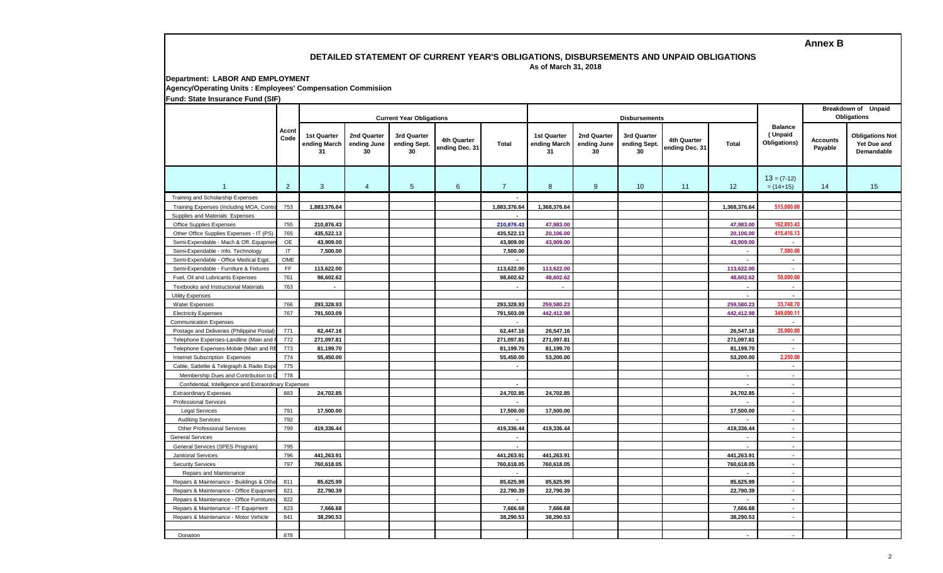**Annex B**

## **DETAILED STATEMENT OF CURRENT YEAR'S OBLIGATIONS, DISBURSEMENTS AND UNPAID OBLIGATIONS**

 **As of March 31, 2018**

**Department: LABOR AND EMPLOYMENT Agency/Operating Units : Employees' Compensation Commisiion**

**Fund: State Insurance Fund (SIF)**

|                                                       |               | <b>Current Year Obligations</b>          |                                  |                                   |                               |                |                                          |                                  | <b>Disbursements</b>              |                               | <b>Breakdown of Unpaid</b><br><b>Obligations</b> |                                           |                            |                                                     |
|-------------------------------------------------------|---------------|------------------------------------------|----------------------------------|-----------------------------------|-------------------------------|----------------|------------------------------------------|----------------------------------|-----------------------------------|-------------------------------|--------------------------------------------------|-------------------------------------------|----------------------------|-----------------------------------------------------|
|                                                       | Accnt<br>Code | <b>1st Quarter</b><br>ending March<br>31 | 2nd Quarter<br>ending June<br>30 | 3rd Quarter<br>ending Sept.<br>30 | 4th Quarter<br>ending Dec. 31 | <b>Total</b>   | <b>1st Quarter</b><br>ending March<br>31 | 2nd Quarter<br>ending June<br>30 | 3rd Quarter<br>ending Sept.<br>30 | 4th Quarter<br>ending Dec. 31 | <b>Total</b>                                     | <b>Balance</b><br>(Unpaid<br>Obligations) | <b>Accounts</b><br>Payable | <b>Obligations Not</b><br>Yet Due and<br>Demandable |
| $\mathbf{1}$                                          | 2             | $\mathbf{3}$                             | $\overline{4}$                   | $5\phantom{.0}$                   | 6                             | $\overline{7}$ | 8                                        | 9                                | 10                                | 11                            | 12                                               | $13 = (7-12)$<br>$= (14+15)$              | 14                         | 15                                                  |
| Training and Scholarship Expenses                     |               |                                          |                                  |                                   |                               |                |                                          |                                  |                                   |                               |                                                  |                                           |                            |                                                     |
| Training Expenses (Including MOA, Contr.              | 753           | 1,883,376.64                             |                                  |                                   |                               | 1,883,376.64   | 1,368,376.64                             |                                  |                                   |                               | 1,368,376.64                                     | 515,000.00                                |                            |                                                     |
| Supplies and Materials Expenses                       |               |                                          |                                  |                                   |                               |                |                                          |                                  |                                   |                               |                                                  |                                           |                            |                                                     |
| Office Supplies Expenses                              | 755           | 210,876.43                               |                                  |                                   |                               | 210,876.43     | 47,983.00                                |                                  |                                   |                               | 47,983.00                                        | 162,893.43                                |                            |                                                     |
| Other Office Supplies Expenses - IT (PS)              | 765           | 435,522.13                               |                                  |                                   |                               | 435,522.13     | 20,106.00                                |                                  |                                   |                               | 20,106.00                                        | 415,416.13                                |                            |                                                     |
| Semi-Expendable - Mach.& Off. Equipme                 | <b>OE</b>     | 43,909.00                                |                                  |                                   |                               | 43.909.00      | 43.909.00                                |                                  |                                   |                               | 43.909.00                                        |                                           |                            |                                                     |
| Semi-Expendable - Info. Technology                    | $\mathsf{I}$  | 7,500.00                                 |                                  |                                   |                               | 7,500.00       |                                          |                                  |                                   |                               | ×.                                               | 7,500.00                                  |                            |                                                     |
| Semi-Expendable - Office Medical Eqpt.                | OME           |                                          |                                  |                                   |                               |                |                                          |                                  |                                   |                               | $\sim$                                           | ×                                         |                            |                                                     |
| Semi-Expendable - Furniture & Fixtures                | FF.           | 113,622.00                               |                                  |                                   |                               | 113,622.00     | 113,622.00                               |                                  |                                   |                               | 113,622.00                                       | ×                                         |                            |                                                     |
| Fuel, Oil and Lubricants Expenses                     | 761           | 98,602.62                                |                                  |                                   |                               | 98,602.62      | 48,602.62                                |                                  |                                   |                               | 48,602.62                                        | 50,000.00                                 |                            |                                                     |
| Textbooks and Instructional Materials                 | 763           | $\sim$                                   |                                  |                                   |                               | $\sim$         | $\sim$                                   |                                  |                                   |                               | $\sim$                                           | ×.                                        |                            |                                                     |
| <b>Utility Expenses</b>                               |               |                                          |                                  |                                   |                               |                |                                          |                                  |                                   |                               | $\sim$                                           |                                           |                            |                                                     |
| Water Expenses                                        | 766           | 293,328.93                               |                                  |                                   |                               | 293,328.93     | 259,580.23                               |                                  |                                   |                               | 259,580.23                                       | 33,748.70                                 |                            |                                                     |
| <b>Electricity Expenses</b>                           | 767           | 791,503.09                               |                                  |                                   |                               | 791,503.09     | 442,412.98                               |                                  |                                   |                               | 442,412.98                                       | 349.090.11                                |                            |                                                     |
| <b>Communication Expenses</b>                         |               |                                          |                                  |                                   |                               | $\sim$         |                                          |                                  |                                   |                               |                                                  | ×.                                        |                            |                                                     |
| Postage and Deliveries (Philippine Postal             | 771           | 62,447.16                                |                                  |                                   |                               | 62.447.16      | 26,547.16                                |                                  |                                   |                               | 26,547.16                                        | 35,900.00                                 |                            |                                                     |
| Telephone Expenses-Landline (Main and                 | 772           | 271,097.81                               |                                  |                                   |                               | 271,097.81     | 271,097.81                               |                                  |                                   |                               | 271,097.81                                       | $\sim$                                    |                            |                                                     |
| Telephone Expenses-Mobile (Main and R                 | 773           | 81,199.70                                |                                  |                                   |                               | 81,199.70      | 81,199.70                                |                                  |                                   |                               | 81,199.70                                        | a.                                        |                            |                                                     |
| Internet Subscription Expenses                        | 774           | 55,450.00                                |                                  |                                   |                               | 55,450.00      | 53,200.00                                |                                  |                                   |                               | 53,200.00                                        | 2.250.00                                  |                            |                                                     |
| Cable, Sattelite & Telegraph & Radio Exp              | 775           |                                          |                                  |                                   |                               | $\mathbf{r}$   |                                          |                                  |                                   |                               |                                                  | $\mathbf{r}$                              |                            |                                                     |
| Membership Dues and Contribution to                   | 778           |                                          |                                  |                                   |                               |                |                                          |                                  |                                   |                               | $\sim$                                           | $\sim$                                    |                            |                                                     |
| Confidential, Intelligence and Extraordinary Expenses |               |                                          |                                  |                                   |                               | $\overline{a}$ |                                          |                                  |                                   |                               | $\sim$                                           | . .                                       |                            |                                                     |
| <b>Extraordinary Expenses</b>                         | 883           | 24,702.85                                |                                  |                                   |                               | 24,702.85      | 24,702.85                                |                                  |                                   |                               | 24,702.85                                        | . .                                       |                            |                                                     |
| <b>Professional Services</b>                          |               |                                          |                                  |                                   |                               |                |                                          |                                  |                                   |                               |                                                  | $\sim$                                    |                            |                                                     |
| <b>Legal Services</b>                                 | 791           | 17.500.00                                |                                  |                                   |                               | 17,500.00      | 17,500.00                                |                                  |                                   |                               | 17,500.00                                        | ×                                         |                            |                                                     |
| <b>Auditing Services</b>                              | 792           |                                          |                                  |                                   |                               |                |                                          |                                  |                                   |                               |                                                  | $\sim$                                    |                            |                                                     |
| <b>Other Professional Services</b>                    | 799           | 419,336.44                               |                                  |                                   |                               | 419,336.44     | 419,336.44                               |                                  |                                   |                               | 419,336.44                                       | ×                                         |                            |                                                     |
| <b>General Services</b>                               |               |                                          |                                  |                                   |                               | $\blacksquare$ |                                          |                                  |                                   |                               | $\sim$                                           | ×                                         |                            |                                                     |
| General Services (SPES Program)                       | 795           |                                          |                                  |                                   |                               | $\mathbf{r}$   |                                          |                                  |                                   |                               | $\sim$                                           | $\mathbf{r}$                              |                            |                                                     |
| Janitorial Services                                   | 796           | 441,263.91                               |                                  |                                   |                               | 441,263.91     | 441,263.91                               |                                  |                                   |                               | 441,263.91                                       | $\sim$                                    |                            |                                                     |
| <b>Security Services</b>                              | 797           | 760,618.05                               |                                  |                                   |                               | 760,618.05     | 760,618.05                               |                                  |                                   |                               | 760,618.05                                       | . н.                                      |                            |                                                     |
| Repairs and Maintenance                               |               |                                          |                                  |                                   |                               | $\blacksquare$ |                                          |                                  |                                   |                               | $\overline{\phantom{a}}$                         | . .                                       |                            |                                                     |
| Repairs & Maintenance - Buildings & Othe              | 811           | 85,625.99                                |                                  |                                   |                               | 85,625.99      | 85,625.99                                |                                  |                                   |                               | 85,625.99                                        | a.                                        |                            |                                                     |
| Repairs & Maintenance - Office Equipmen               | 821           | 22,790.39                                |                                  |                                   |                               | 22,790.39      | 22,790.39                                |                                  |                                   |                               | 22,790.39                                        | $\sim$                                    |                            |                                                     |
| Repairs & Maintenance - Office Furniture              | 822           |                                          |                                  |                                   |                               | $\sim$         |                                          |                                  |                                   |                               | $\sim$                                           | $\sim$                                    |                            |                                                     |
| Repairs & Maintenance - IT Equipment                  | 823           | 7,666.68                                 |                                  |                                   |                               | 7,666.68       | 7,666.68                                 |                                  |                                   |                               | 7,666.68                                         | $\mathcal{L}_{\mathcal{A}}$               |                            |                                                     |
| Repairs & Maintenance - Motor Vehicle                 | 841           | 38,290.53                                |                                  |                                   |                               | 38,290.53      | 38,290.53                                |                                  |                                   |                               | 38,290.53                                        | $\mathbf{r}$                              |                            |                                                     |
|                                                       |               |                                          |                                  |                                   |                               |                |                                          |                                  |                                   |                               |                                                  |                                           |                            |                                                     |
| Donation                                              | 878           |                                          |                                  |                                   |                               |                |                                          |                                  |                                   |                               | $\sim$                                           | ×.                                        |                            |                                                     |